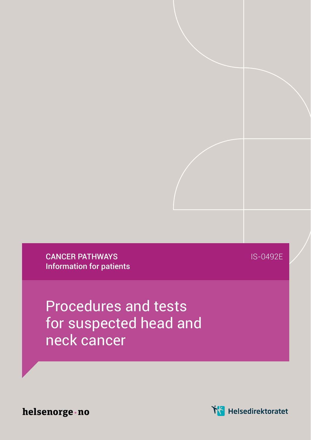CANCER PATHWAYS Information for patients IS-0492E

Procedures and tests for suspected head and neck cancer

helsenorge · no

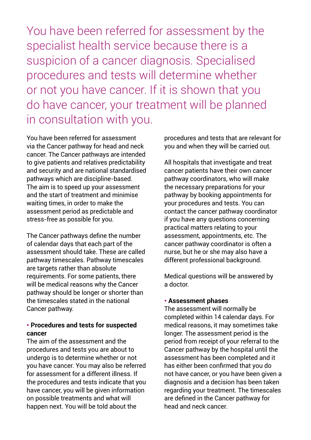You have been referred for assessment by the specialist health service because there is a suspicion of a cancer diagnosis. Specialised procedures and tests will determine whether or not you have cancer. If it is shown that you do have cancer, your treatment will be planned in consultation with you.

You have been referred for assessment via the Cancer pathway for head and neck cancer. The Cancer pathways are intended to give patients and relatives predictability and security and are national standardised pathways which are discipline-based. The aim is to speed up your assessment and the start of treatment and minimise waiting times, in order to make the assessment period as predictable and stress-free as possible for you.

The Cancer pathways define the number of calendar days that each part of the assessment should take. These are called pathway timescales. Pathway timescales are targets rather than absolute requirements. For some patients, there will be medical reasons why the Cancer pathway should be longer or shorter than the timescales stated in the national Cancer pathway.

## ● **Procedures and tests for suspected cancer**

The aim of the assessment and the procedures and tests you are about to undergo is to determine whether or not you have cancer. You may also be referred for assessment for a different illness. If the procedures and tests indicate that you have cancer, you will be given information on possible treatments and what will happen next. You will be told about the

procedures and tests that are relevant for you and when they will be carried out.

All hospitals that investigate and treat cancer patients have their own cancer pathway coordinators, who will make the necessary preparations for your pathway by booking appointments for your procedures and tests. You can contact the cancer pathway coordinator if you have any questions concerning practical matters relating to your assessment, appointments, etc. The cancer pathway coordinator is often a nurse, but he or she may also have a different professional background.

Medical questions will be answered by a doctor.

## ● **Assessment phases**

The assessment will normally be completed within 14 calendar days. For medical reasons, it may sometimes take longer. The assessment period is the period from receipt of your referral to the Cancer pathway by the hospital until the assessment has been completed and it has either been confirmed that you do not have cancer, or you have been given a diagnosis and a decision has been taken regarding your treatment. The timescales are defined in the Cancer pathway for head and neck cancer.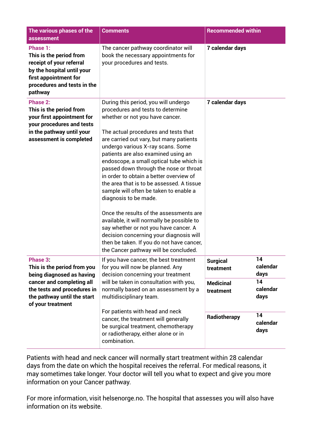| The various phases of the<br>assessment                                                                                                                                              | <b>Comments</b>                                                                                                                                                                                                                                                                                                                                                                                                                                                                                                                                                                                                                                                                                                                                                                                 | <b>Recommended within</b>                                            |          |
|--------------------------------------------------------------------------------------------------------------------------------------------------------------------------------------|-------------------------------------------------------------------------------------------------------------------------------------------------------------------------------------------------------------------------------------------------------------------------------------------------------------------------------------------------------------------------------------------------------------------------------------------------------------------------------------------------------------------------------------------------------------------------------------------------------------------------------------------------------------------------------------------------------------------------------------------------------------------------------------------------|----------------------------------------------------------------------|----------|
| Phase 1:<br>This is the period from<br>receipt of your referral<br>by the hospital until your<br>first appointment for<br>procedures and tests in the<br>pathway                     | The cancer pathway coordinator will<br>book the necessary appointments for<br>your procedures and tests.                                                                                                                                                                                                                                                                                                                                                                                                                                                                                                                                                                                                                                                                                        | 7 calendar days                                                      |          |
| Phase 2:<br>This is the period from<br>your first appointment for<br>your procedures and tests<br>in the pathway until your<br>assessment is completed                               | During this period, you will undergo<br>procedures and tests to determine<br>whether or not you have cancer.<br>The actual procedures and tests that<br>are carried out vary, but many patients<br>undergo various X-ray scans. Some<br>patients are also examined using an<br>endoscope, a small optical tube which is<br>passed down through the nose or throat<br>in order to obtain a better overview of<br>the area that is to be assessed. A tissue<br>sample will often be taken to enable a<br>diagnosis to be made.<br>Once the results of the assessments are<br>available, it will normally be possible to<br>say whether or not you have cancer. A<br>decision concerning your diagnosis will<br>then be taken. If you do not have cancer,<br>the Cancer pathway will be concluded. | 7 calendar days                                                      |          |
| Phase 3:<br>This is the period from you<br>being diagnosed as having<br>cancer and completing all<br>the tests and procedures in<br>the pathway until the start<br>of your treatment | If you have cancer, the best treatment<br>for you will now be planned. Any<br>decision concerning your treatment<br>will be taken in consultation with you,<br>normally based on an assessment by a<br>multidisciplinary team.<br>For patients with head and neck<br>cancer, the treatment will generally<br>be surgical treatment, chemotherapy<br>or radiotherapy, either alone or in<br>combination.                                                                                                                                                                                                                                                                                                                                                                                         | 14<br><b>Surgical</b><br>treatment<br>days<br>14<br><b>Medicinal</b> | calendar |
|                                                                                                                                                                                      |                                                                                                                                                                                                                                                                                                                                                                                                                                                                                                                                                                                                                                                                                                                                                                                                 | treatment<br>days                                                    | calendar |
|                                                                                                                                                                                      |                                                                                                                                                                                                                                                                                                                                                                                                                                                                                                                                                                                                                                                                                                                                                                                                 | 14<br>Radiotherapy<br>days                                           | calendar |

Patients with head and neck cancer will normally start treatment within 28 calendar days from the date on which the hospital receives the referral. For medical reasons, it may sometimes take longer. Your doctor will tell you what to expect and give you more information on your Cancer pathway.

For more information, visit helsenorge.no. The hospital that assesses you will also have information on its website.